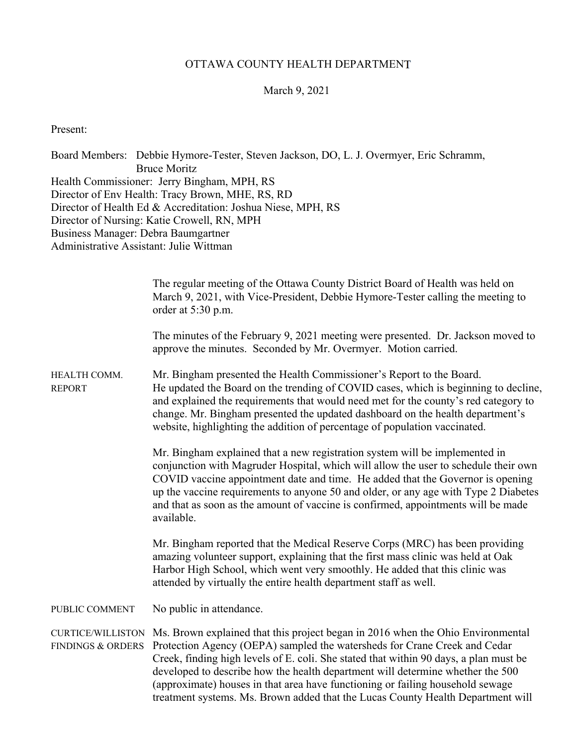## OTTAWA COUNTY HEALTH DEPARTMENT

### March 9, 2021

Present:

Board Members: Debbie Hymore-Tester, Steven Jackson, DO, L. J. Overmyer, Eric Schramm, Bruce Moritz Health Commissioner: Jerry Bingham, MPH, RS Director of Env Health: Tracy Brown, MHE, RS, RD Director of Health Ed & Accreditation: Joshua Niese, MPH, RS Director of Nursing: Katie Crowell, RN, MPH Business Manager: Debra Baumgartner Administrative Assistant: Julie Wittman

|                               | The regular meeting of the Ottawa County District Board of Health was held on<br>March 9, 2021, with Vice-President, Debbie Hymore-Tester calling the meeting to<br>order at 5:30 p.m.                                                                                                                                                                                                                                                         |
|-------------------------------|------------------------------------------------------------------------------------------------------------------------------------------------------------------------------------------------------------------------------------------------------------------------------------------------------------------------------------------------------------------------------------------------------------------------------------------------|
|                               | The minutes of the February 9, 2021 meeting were presented. Dr. Jackson moved to<br>approve the minutes. Seconded by Mr. Overmyer. Motion carried.                                                                                                                                                                                                                                                                                             |
| HEALTH COMM.<br><b>REPORT</b> | Mr. Bingham presented the Health Commissioner's Report to the Board.<br>He updated the Board on the trending of COVID cases, which is beginning to decline,<br>and explained the requirements that would need met for the county's red category to<br>change. Mr. Bingham presented the updated dashboard on the health department's<br>website, highlighting the addition of percentage of population vaccinated.                             |
|                               | Mr. Bingham explained that a new registration system will be implemented in<br>conjunction with Magruder Hospital, which will allow the user to schedule their own<br>COVID vaccine appointment date and time. He added that the Governor is opening<br>up the vaccine requirements to anyone 50 and older, or any age with Type 2 Diabetes<br>and that as soon as the amount of vaccine is confirmed, appointments will be made<br>available. |
|                               | Mr. Bingham reported that the Medical Reserve Corps (MRC) has been providing<br>amazing volunteer support, explaining that the first mass clinic was held at Oak<br>Harbor High School, which went very smoothly. He added that this clinic was<br>attended by virtually the entire health department staff as well.                                                                                                                           |
| PUBLIC COMMENT                | No public in attendance.                                                                                                                                                                                                                                                                                                                                                                                                                       |
| <b>FINDINGS &amp; ORDERS</b>  | CURTICE/WILLISTON Ms. Brown explained that this project began in 2016 when the Ohio Environmental<br>Protection Agency (OEPA) sampled the watersheds for Crane Creek and Cedar<br>Creek, finding high levels of E. coli. She stated that within 90 days, a plan must be<br>developed to describe how the health department will determine whether the 500<br>(approximate) houses in that area have functioning or failing household sewage    |

treatment systems. Ms. Brown added that the Lucas County Health Department will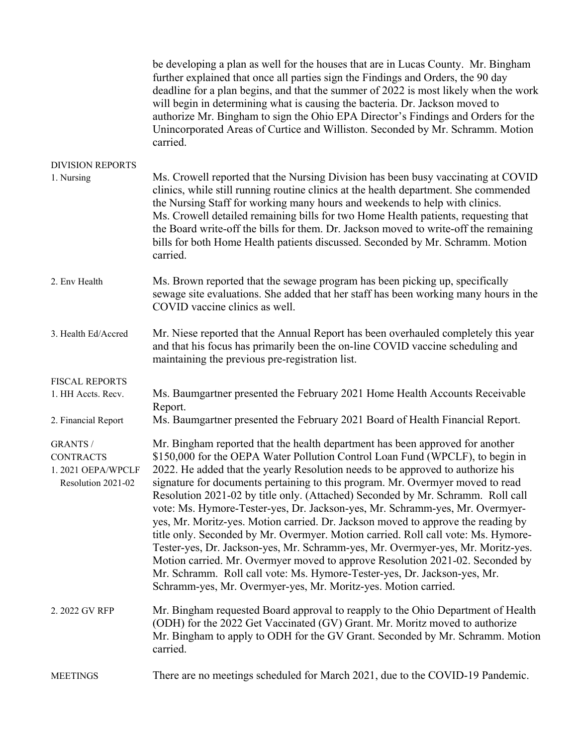|                                                                                | be developing a plan as well for the houses that are in Lucas County. Mr. Bingham<br>further explained that once all parties sign the Findings and Orders, the 90 day<br>deadline for a plan begins, and that the summer of 2022 is most likely when the work<br>will begin in determining what is causing the bacteria. Dr. Jackson moved to<br>authorize Mr. Bingham to sign the Ohio EPA Director's Findings and Orders for the<br>Unincorporated Areas of Curtice and Williston. Seconded by Mr. Schramm. Motion<br>carried.                                                                                                                                                                                                                                                                                                                                                                                                                                                                  |
|--------------------------------------------------------------------------------|---------------------------------------------------------------------------------------------------------------------------------------------------------------------------------------------------------------------------------------------------------------------------------------------------------------------------------------------------------------------------------------------------------------------------------------------------------------------------------------------------------------------------------------------------------------------------------------------------------------------------------------------------------------------------------------------------------------------------------------------------------------------------------------------------------------------------------------------------------------------------------------------------------------------------------------------------------------------------------------------------|
| <b>DIVISION REPORTS</b><br>1. Nursing                                          | Ms. Crowell reported that the Nursing Division has been busy vaccinating at COVID<br>clinics, while still running routine clinics at the health department. She commended<br>the Nursing Staff for working many hours and weekends to help with clinics.<br>Ms. Crowell detailed remaining bills for two Home Health patients, requesting that<br>the Board write-off the bills for them. Dr. Jackson moved to write-off the remaining<br>bills for both Home Health patients discussed. Seconded by Mr. Schramm. Motion<br>carried.                                                                                                                                                                                                                                                                                                                                                                                                                                                              |
| 2. Env Health                                                                  | Ms. Brown reported that the sewage program has been picking up, specifically<br>sewage site evaluations. She added that her staff has been working many hours in the<br>COVID vaccine clinics as well.                                                                                                                                                                                                                                                                                                                                                                                                                                                                                                                                                                                                                                                                                                                                                                                            |
| 3. Health Ed/Accred                                                            | Mr. Niese reported that the Annual Report has been overhauled completely this year<br>and that his focus has primarily been the on-line COVID vaccine scheduling and<br>maintaining the previous pre-registration list.                                                                                                                                                                                                                                                                                                                                                                                                                                                                                                                                                                                                                                                                                                                                                                           |
| <b>FISCAL REPORTS</b><br>1. HH Accts. Recv.<br>2. Financial Report             | Ms. Baumgartner presented the February 2021 Home Health Accounts Receivable<br>Report.<br>Ms. Baumgartner presented the February 2021 Board of Health Financial Report.                                                                                                                                                                                                                                                                                                                                                                                                                                                                                                                                                                                                                                                                                                                                                                                                                           |
| <b>GRANTS /</b><br><b>CONTRACTS</b><br>1.2021 OEPA/WPCLF<br>Resolution 2021-02 | Mr. Bingham reported that the health department has been approved for another<br>\$150,000 for the OEPA Water Pollution Control Loan Fund (WPCLF), to begin in<br>2022. He added that the yearly Resolution needs to be approved to authorize his<br>signature for documents pertaining to this program. Mr. Overmyer moved to read<br>Resolution 2021-02 by title only. (Attached) Seconded by Mr. Schramm. Roll call<br>vote: Ms. Hymore-Tester-yes, Dr. Jackson-yes, Mr. Schramm-yes, Mr. Overmyer-<br>yes, Mr. Moritz-yes. Motion carried. Dr. Jackson moved to approve the reading by<br>title only. Seconded by Mr. Overmyer. Motion carried. Roll call vote: Ms. Hymore-<br>Tester-yes, Dr. Jackson-yes, Mr. Schramm-yes, Mr. Overmyer-yes, Mr. Moritz-yes.<br>Motion carried. Mr. Overmyer moved to approve Resolution 2021-02. Seconded by<br>Mr. Schramm. Roll call vote: Ms. Hymore-Tester-yes, Dr. Jackson-yes, Mr.<br>Schramm-yes, Mr. Overmyer-yes, Mr. Moritz-yes. Motion carried. |
| 2. 2022 GV RFP                                                                 | Mr. Bingham requested Board approval to reapply to the Ohio Department of Health<br>(ODH) for the 2022 Get Vaccinated (GV) Grant. Mr. Moritz moved to authorize<br>Mr. Bingham to apply to ODH for the GV Grant. Seconded by Mr. Schramm. Motion<br>carried.                                                                                                                                                                                                                                                                                                                                                                                                                                                                                                                                                                                                                                                                                                                                      |
| <b>MEETINGS</b>                                                                | There are no meetings scheduled for March 2021, due to the COVID-19 Pandemic.                                                                                                                                                                                                                                                                                                                                                                                                                                                                                                                                                                                                                                                                                                                                                                                                                                                                                                                     |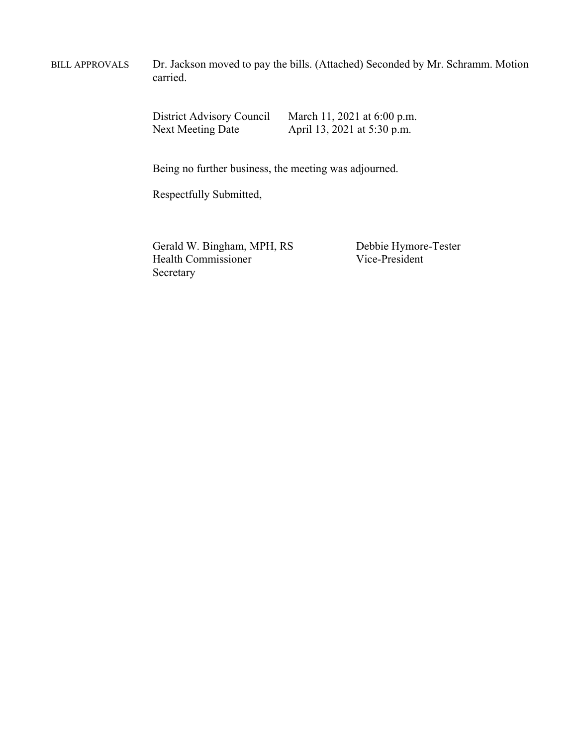BILL APPROVALS Dr. Jackson moved to pay the bills. (Attached) Seconded by Mr. Schramm. Motion carried.

District Advisory Council March 11, 2021 at 6:00 p.m.<br>Next Meeting Date April 13, 2021 at 5:30 p.m. April 13, 2021 at 5:30 p.m.

Being no further business, the meeting was adjourned.

Respectfully Submitted,

Gerald W. Bingham, MPH, RS<br>
Health Commissioner<br>
Vice-President<br>
Vice-President Health Commissioner Secretary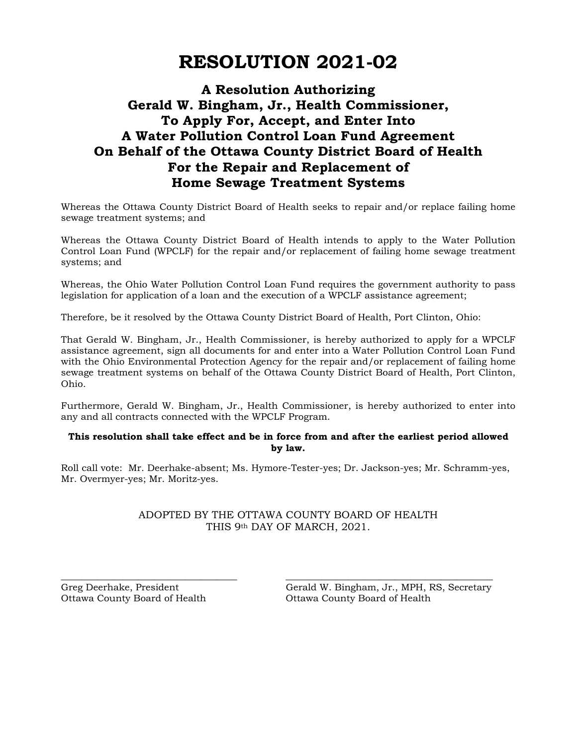# **RESOLUTION 2021-02**

## **A Resolution Authorizing Gerald W. Bingham, Jr., Health Commissioner, To Apply For, Accept, and Enter Into A Water Pollution Control Loan Fund Agreement On Behalf of the Ottawa County District Board of Health For the Repair and Replacement of Home Sewage Treatment Systems**

Whereas the Ottawa County District Board of Health seeks to repair and/or replace failing home sewage treatment systems; and

Whereas the Ottawa County District Board of Health intends to apply to the Water Pollution Control Loan Fund (WPCLF) for the repair and/or replacement of failing home sewage treatment systems; and

Whereas, the Ohio Water Pollution Control Loan Fund requires the government authority to pass legislation for application of a loan and the execution of a WPCLF assistance agreement;

Therefore, be it resolved by the Ottawa County District Board of Health, Port Clinton, Ohio:

That Gerald W. Bingham, Jr., Health Commissioner, is hereby authorized to apply for a WPCLF assistance agreement, sign all documents for and enter into a Water Pollution Control Loan Fund with the Ohio Environmental Protection Agency for the repair and/or replacement of failing home sewage treatment systems on behalf of the Ottawa County District Board of Health, Port Clinton, Ohio.

Furthermore, Gerald W. Bingham, Jr., Health Commissioner, is hereby authorized to enter into any and all contracts connected with the WPCLF Program.

#### **This resolution shall take effect and be in force from and after the earliest period allowed by law.**

Roll call vote: Mr. Deerhake-absent; Ms. Hymore-Tester-yes; Dr. Jackson-yes; Mr. Schramm-yes, Mr. Overmyer-yes; Mr. Moritz-yes.

### ADOPTED BY THE OTTAWA COUNTY BOARD OF HEALTH THIS 9th DAY OF MARCH, 2021.

\_\_\_\_\_\_\_\_\_\_\_\_\_\_\_\_\_\_\_\_\_\_\_\_\_\_\_\_\_\_\_\_\_\_ \_\_\_\_\_\_\_\_\_\_\_\_\_\_\_\_\_\_\_\_\_\_\_\_\_\_\_\_\_\_\_\_\_\_\_\_\_\_\_\_

Greg Deerhake, President Gerald W. Bingham, Jr., MPH, RS, Secretary Ottawa County Board of Health Ottawa County Board of Health